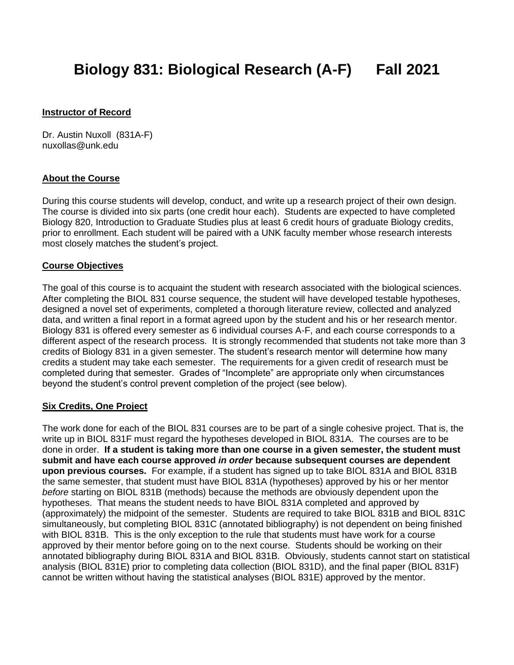# **Biology 831: Biological Research (A-F) Fall 2021**

#### **Instructor of Record**

Dr. Austin Nuxoll (831A-F) nuxollas@unk.edu

#### **About the Course**

During this course students will develop, conduct, and write up a research project of their own design. The course is divided into six parts (one credit hour each). Students are expected to have completed Biology 820, Introduction to Graduate Studies plus at least 6 credit hours of graduate Biology credits, prior to enrollment. Each student will be paired with a UNK faculty member whose research interests most closely matches the student's project.

#### **Course Objectives**

The goal of this course is to acquaint the student with research associated with the biological sciences. After completing the BIOL 831 course sequence, the student will have developed testable hypotheses, designed a novel set of experiments, completed a thorough literature review, collected and analyzed data, and written a final report in a format agreed upon by the student and his or her research mentor. Biology 831 is offered every semester as 6 individual courses A-F, and each course corresponds to a different aspect of the research process. It is strongly recommended that students not take more than 3 credits of Biology 831 in a given semester. The student's research mentor will determine how many credits a student may take each semester. The requirements for a given credit of research must be completed during that semester. Grades of "Incomplete" are appropriate only when circumstances beyond the student's control prevent completion of the project (see below).

#### **Six Credits, One Project**

The work done for each of the BIOL 831 courses are to be part of a single cohesive project. That is, the write up in BIOL 831F must regard the hypotheses developed in BIOL 831A. The courses are to be done in order. **If a student is taking more than one course in a given semester, the student must submit and have each course approved** *in order* **because subsequent courses are dependent upon previous courses.** For example, if a student has signed up to take BIOL 831A and BIOL 831B the same semester, that student must have BIOL 831A (hypotheses) approved by his or her mentor *before* starting on BIOL 831B (methods) because the methods are obviously dependent upon the hypotheses. That means the student needs to have BIOL 831A completed and approved by (approximately) the midpoint of the semester. Students are required to take BIOL 831B and BIOL 831C simultaneously, but completing BIOL 831C (annotated bibliography) is not dependent on being finished with BIOL 831B. This is the only exception to the rule that students must have work for a course approved by their mentor before going on to the next course. Students should be working on their annotated bibliography during BIOL 831A and BIOL 831B. Obviously, students cannot start on statistical analysis (BIOL 831E) prior to completing data collection (BIOL 831D), and the final paper (BIOL 831F) cannot be written without having the statistical analyses (BIOL 831E) approved by the mentor.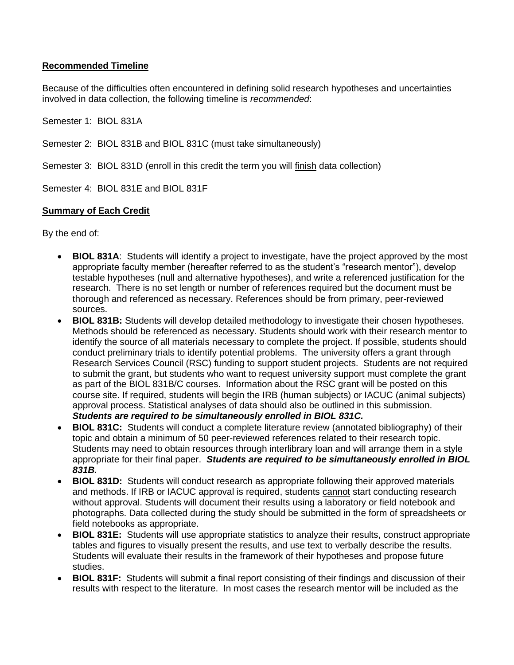## **Recommended Timeline**

Because of the difficulties often encountered in defining solid research hypotheses and uncertainties involved in data collection, the following timeline is *recommended*:

Semester 1: BIOL 831A

Semester 2: BIOL 831B and BIOL 831C (must take simultaneously)

Semester 3: BIOL 831D (enroll in this credit the term you will finish data collection)

Semester 4: BIOL 831E and BIOL 831F

## **Summary of Each Credit**

By the end of:

- **BIOL 831A**: Students will identify a project to investigate, have the project approved by the most appropriate faculty member (hereafter referred to as the student's "research mentor"), develop testable hypotheses (null and alternative hypotheses), and write a referenced justification for the research. There is no set length or number of references required but the document must be thorough and referenced as necessary. References should be from primary, peer-reviewed sources.
- **BIOL 831B:** Students will develop detailed methodology to investigate their chosen hypotheses. Methods should be referenced as necessary. Students should work with their research mentor to identify the source of all materials necessary to complete the project. If possible, students should conduct preliminary trials to identify potential problems. The university offers a grant through Research Services Council (RSC) funding to support student projects. Students are not required to submit the grant, but students who want to request university support must complete the grant as part of the BIOL 831B/C courses. Information about the RSC grant will be posted on this course site. If required, students will begin the IRB (human subjects) or IACUC (animal subjects) approval process. Statistical analyses of data should also be outlined in this submission. *Students are required to be simultaneously enrolled in BIOL 831C.*
- **BIOL 831C:** Students will conduct a complete literature review (annotated bibliography) of their topic and obtain a minimum of 50 peer-reviewed references related to their research topic. Students may need to obtain resources through interlibrary loan and will arrange them in a style appropriate for their final paper. *Students are required to be simultaneously enrolled in BIOL 831B.*
- **BIOL 831D:** Students will conduct research as appropriate following their approved materials and methods. If IRB or IACUC approval is required, students cannot start conducting research without approval. Students will document their results using a laboratory or field notebook and photographs. Data collected during the study should be submitted in the form of spreadsheets or field notebooks as appropriate.
- **BIOL 831E:** Students will use appropriate statistics to analyze their results, construct appropriate tables and figures to visually present the results, and use text to verbally describe the results. Students will evaluate their results in the framework of their hypotheses and propose future studies.
- **BIOL 831F:** Students will submit a final report consisting of their findings and discussion of their results with respect to the literature. In most cases the research mentor will be included as the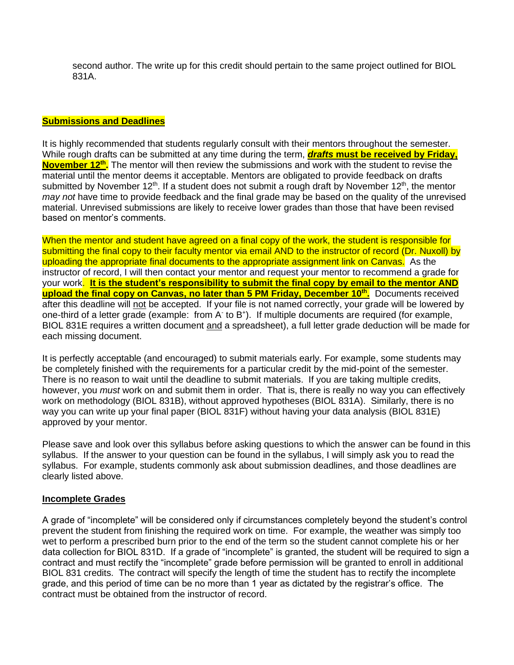second author. The write up for this credit should pertain to the same project outlined for BIOL 831A.

#### **Submissions and Deadlines**

It is highly recommended that students regularly consult with their mentors throughout the semester. While rough drafts can be submitted at any time during the term, *drafts* **must be received by Friday, November 12th .** The mentor will then review the submissions and work with the student to revise the material until the mentor deems it acceptable. Mentors are obligated to provide feedback on drafts submitted by November 12<sup>th</sup>. If a student does not submit a rough draft by November 12<sup>th</sup>, the mentor *may not* have time to provide feedback and the final grade may be based on the quality of the unrevised material. Unrevised submissions are likely to receive lower grades than those that have been revised based on mentor's comments.

When the mentor and student have agreed on a final copy of the work, the student is responsible for submitting the final copy to their faculty mentor via email AND to the instructor of record (Dr. Nuxoll) by uploading the appropriate final documents to the appropriate assignment link on Canvas. As the instructor of record, I will then contact your mentor and request your mentor to recommend a grade for your work. **It is the student's responsibility to submit the final copy by email to the mentor AND upload the final copy on Canvas, no later than 5 PM Friday, December 10th .** Documents received after this deadline will not be accepted. If your file is not named correctly, your grade will be lowered by one-third of a letter grade (example: from A to B<sup>+</sup>). If multiple documents are required (for example, BIOL 831E requires a written document and a spreadsheet), a full letter grade deduction will be made for each missing document.

It is perfectly acceptable (and encouraged) to submit materials early. For example, some students may be completely finished with the requirements for a particular credit by the mid-point of the semester. There is no reason to wait until the deadline to submit materials. If you are taking multiple credits, however, you *must* work on and submit them in order. That is, there is really no way you can effectively work on methodology (BIOL 831B), without approved hypotheses (BIOL 831A). Similarly, there is no way you can write up your final paper (BIOL 831F) without having your data analysis (BIOL 831E) approved by your mentor.

Please save and look over this syllabus before asking questions to which the answer can be found in this syllabus. If the answer to your question can be found in the syllabus, I will simply ask you to read the syllabus. For example, students commonly ask about submission deadlines, and those deadlines are clearly listed above.

#### **Incomplete Grades**

A grade of "incomplete" will be considered only if circumstances completely beyond the student's control prevent the student from finishing the required work on time. For example, the weather was simply too wet to perform a prescribed burn prior to the end of the term so the student cannot complete his or her data collection for BIOL 831D. If a grade of "incomplete" is granted, the student will be required to sign a contract and must rectify the "incomplete" grade before permission will be granted to enroll in additional BIOL 831 credits. The contract will specify the length of time the student has to rectify the incomplete grade, and this period of time can be no more than 1 year as dictated by the registrar's office. The contract must be obtained from the instructor of record.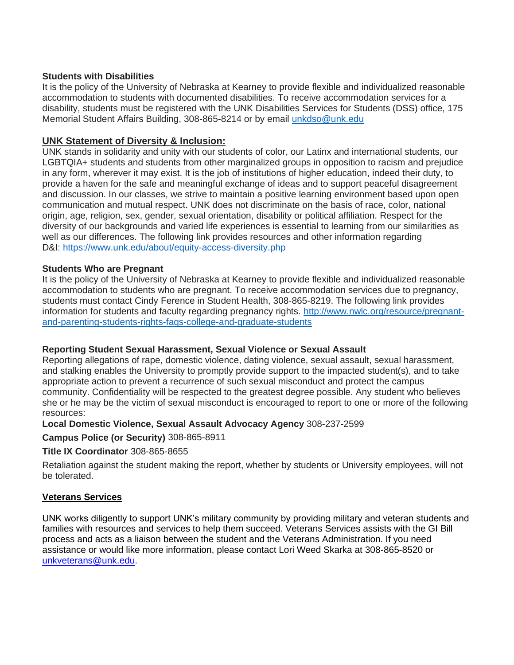#### **Students with Disabilities**

It is the policy of the University of Nebraska at Kearney to provide flexible and individualized reasonable accommodation to students with documented disabilities. To receive accommodation services for a disability, students must be registered with the UNK Disabilities Services for Students (DSS) office, 175 Memorial Student Affairs Building, 308-865-8214 or by email [unkdso@unk.edu](mailto:unkdso@unk.edu)

## **UNK Statement of Diversity & Inclusion:**

UNK stands in solidarity and unity with our students of color, our Latinx and international students, our LGBTQIA+ students and students from other marginalized groups in opposition to racism and prejudice in any form, wherever it may exist. It is the job of institutions of higher education, indeed their duty, to provide a haven for the safe and meaningful exchange of ideas and to support peaceful disagreement and discussion. In our classes, we strive to maintain a positive learning environment based upon open communication and mutual respect. UNK does not discriminate on the basis of race, color, national origin, age, religion, sex, gender, sexual orientation, disability or political affiliation. Respect for the diversity of our backgrounds and varied life experiences is essential to learning from our similarities as well as our differences. The following link provides resources and other information regarding D&I: <https://www.unk.edu/about/equity-access-diversity.php>

#### **Students Who are Pregnant**

It is the policy of the University of Nebraska at Kearney to provide flexible and individualized reasonable accommodation to students who are pregnant. To receive accommodation services due to pregnancy, students must contact Cindy Ference in Student Health, 308-865-8219. The following link provides information for students and faculty regarding pregnancy rights. [http://www.nwlc.org/resource/pregnant](https://urldefense.proofpoint.com/v2/url?u=http-3A__www.nwlc.org_resource_pregnant-2Dand-2Dparenting-2Dstudents-2Drights-2Dfaqs-2Dcollege-2Dand-2Dgraduate-2Dstudents&d=DwMFAg&c=Cu5g146wZdoqVuKpTNsYHeFX_rg6kWhlkLF8Eft-wwo&r=BJkIhAaMtWY7PlqIhIOyVw&m=RgBL3s2VNHfvD5ReMK2q_PhwYU8dbEt1vxs1BO4WkpQ&s=MmB91XAzaW-E7UPMXPGx9tWJQbTWJYyYzM8gLjhEzQ0&e=)[and-parenting-students-rights-faqs-college-and-graduate-students](https://urldefense.proofpoint.com/v2/url?u=http-3A__www.nwlc.org_resource_pregnant-2Dand-2Dparenting-2Dstudents-2Drights-2Dfaqs-2Dcollege-2Dand-2Dgraduate-2Dstudents&d=DwMFAg&c=Cu5g146wZdoqVuKpTNsYHeFX_rg6kWhlkLF8Eft-wwo&r=BJkIhAaMtWY7PlqIhIOyVw&m=RgBL3s2VNHfvD5ReMK2q_PhwYU8dbEt1vxs1BO4WkpQ&s=MmB91XAzaW-E7UPMXPGx9tWJQbTWJYyYzM8gLjhEzQ0&e=)

## **Reporting Student Sexual Harassment, Sexual Violence or Sexual Assault**

Reporting allegations of rape, domestic violence, dating violence, sexual assault, sexual harassment, and stalking enables the University to promptly provide support to the impacted student(s), and to take appropriate action to prevent a recurrence of such sexual misconduct and protect the campus community. Confidentiality will be respected to the greatest degree possible. Any student who believes she or he may be the victim of sexual misconduct is encouraged to report to one or more of the following resources:

#### **Local Domestic Violence, Sexual Assault Advocacy Agency** 308-237-2599

**Campus Police (or Security)** 308-865-8911

**Title IX Coordinator** 308-865-8655

Retaliation against the student making the report, whether by students or University employees, will not be tolerated.

## **Veterans Services**

UNK works diligently to support UNK's military community by providing military and veteran students and families with resources and services to help them succeed. Veterans Services assists with the GI Bill process and acts as a liaison between the student and the Veterans Administration. If you need assistance or would like more information, please contact Lori Weed Skarka at 308-865-8520 or [unkveterans@unk.edu.](mailto:unkveterans@unk.edu)